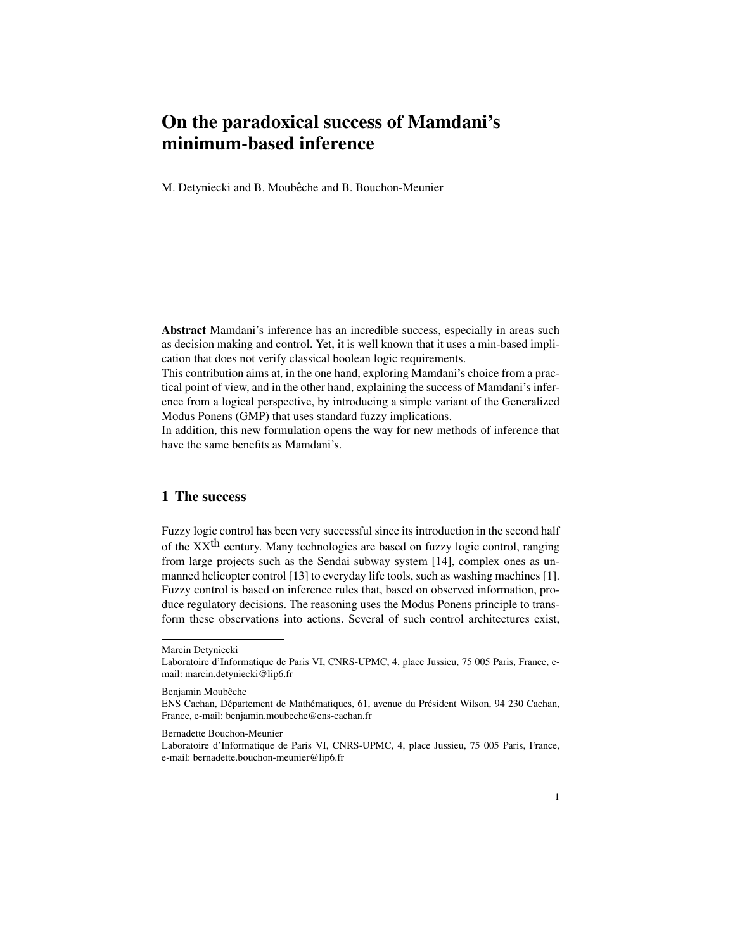# On the paradoxical success of Mamdani's minimum-based inference

M. Detyniecki and B. Moubêche and B. Bouchon-Meunier

Abstract Mamdani's inference has an incredible success, especially in areas such as decision making and control. Yet, it is well known that it uses a min-based implication that does not verify classical boolean logic requirements.

This contribution aims at, in the one hand, exploring Mamdani's choice from a practical point of view, and in the other hand, explaining the success of Mamdani's inference from a logical perspective, by introducing a simple variant of the Generalized Modus Ponens (GMP) that uses standard fuzzy implications.

In addition, this new formulation opens the way for new methods of inference that have the same benefits as Mamdani's.

## 1 The success

Fuzzy logic control has been very successful since its introduction in the second half of the XX<sup>th</sup> century. Many technologies are based on fuzzy logic control, ranging from large projects such as the Sendai subway system [14], complex ones as unmanned helicopter control [13] to everyday life tools, such as washing machines [1]. Fuzzy control is based on inference rules that, based on observed information, produce regulatory decisions. The reasoning uses the Modus Ponens principle to transform these observations into actions. Several of such control architectures exist,

Benjamin Moubêche

Marcin Detyniecki

Laboratoire d'Informatique de Paris VI, CNRS-UPMC, 4, place Jussieu, 75 005 Paris, France, email: marcin.detyniecki@lip6.fr

ENS Cachan, Département de Mathématiques, 61, avenue du Président Wilson, 94 230 Cachan, France, e-mail: benjamin.moubeche@ens-cachan.fr

Bernadette Bouchon-Meunier

Laboratoire d'Informatique de Paris VI, CNRS-UPMC, 4, place Jussieu, 75 005 Paris, France, e-mail: bernadette.bouchon-meunier@lip6.fr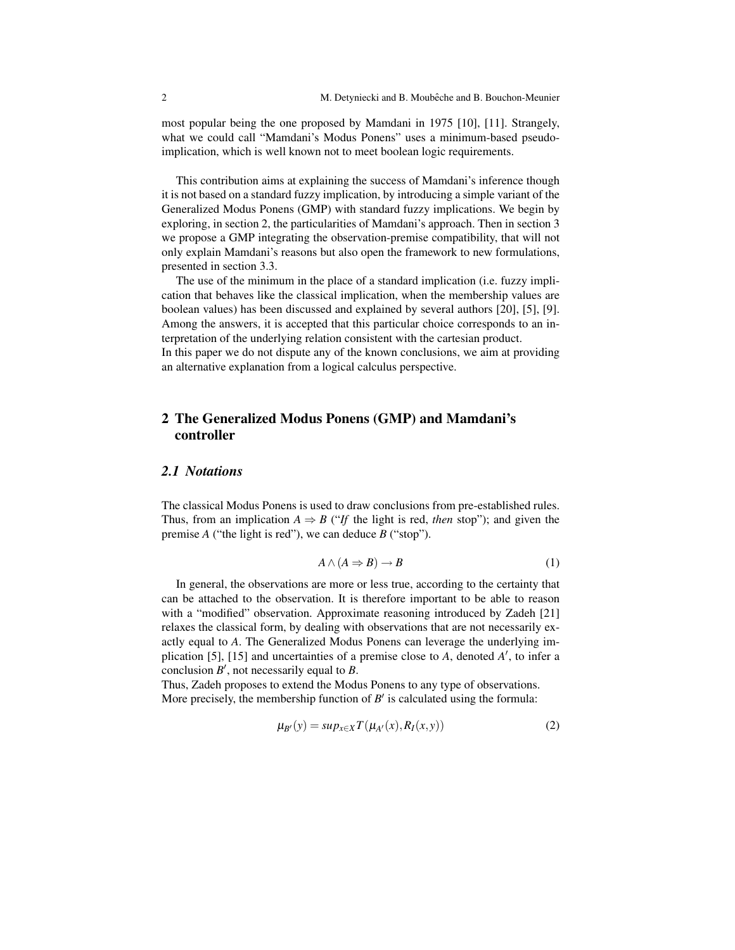most popular being the one proposed by Mamdani in 1975 [10], [11]. Strangely, what we could call "Mamdani's Modus Ponens" uses a minimum-based pseudoimplication, which is well known not to meet boolean logic requirements.

This contribution aims at explaining the success of Mamdani's inference though it is not based on a standard fuzzy implication, by introducing a simple variant of the Generalized Modus Ponens (GMP) with standard fuzzy implications. We begin by exploring, in section 2, the particularities of Mamdani's approach. Then in section 3 we propose a GMP integrating the observation-premise compatibility, that will not only explain Mamdani's reasons but also open the framework to new formulations, presented in section 3.3.

The use of the minimum in the place of a standard implication (i.e. fuzzy implication that behaves like the classical implication, when the membership values are boolean values) has been discussed and explained by several authors [20], [5], [9]. Among the answers, it is accepted that this particular choice corresponds to an interpretation of the underlying relation consistent with the cartesian product.

In this paper we do not dispute any of the known conclusions, we aim at providing an alternative explanation from a logical calculus perspective.

## 2 The Generalized Modus Ponens (GMP) and Mamdani's controller

#### *2.1 Notations*

The classical Modus Ponens is used to draw conclusions from pre-established rules. Thus, from an implication  $A \Rightarrow B$  ("*If* the light is red, *then* stop"); and given the premise *A* ("the light is red"), we can deduce *B* ("stop").

$$
A \wedge (A \Rightarrow B) \to B \tag{1}
$$

In general, the observations are more or less true, according to the certainty that can be attached to the observation. It is therefore important to be able to reason with a "modified" observation. Approximate reasoning introduced by Zadeh [21] relaxes the classical form, by dealing with observations that are not necessarily exactly equal to *A*. The Generalized Modus Ponens can leverage the underlying implication [5], [15] and uncertainties of a premise close to  $A$ , denoted  $A'$ , to infer a conclusion  $B'$ , not necessarily equal to  $B$ .

Thus, Zadeh proposes to extend the Modus Ponens to any type of observations. More precisely, the membership function of  $B'$  is calculated using the formula:

$$
\mu_{B'}(y) = \sup_{x \in X} T(\mu_{A'}(x), R_I(x, y)) \tag{2}
$$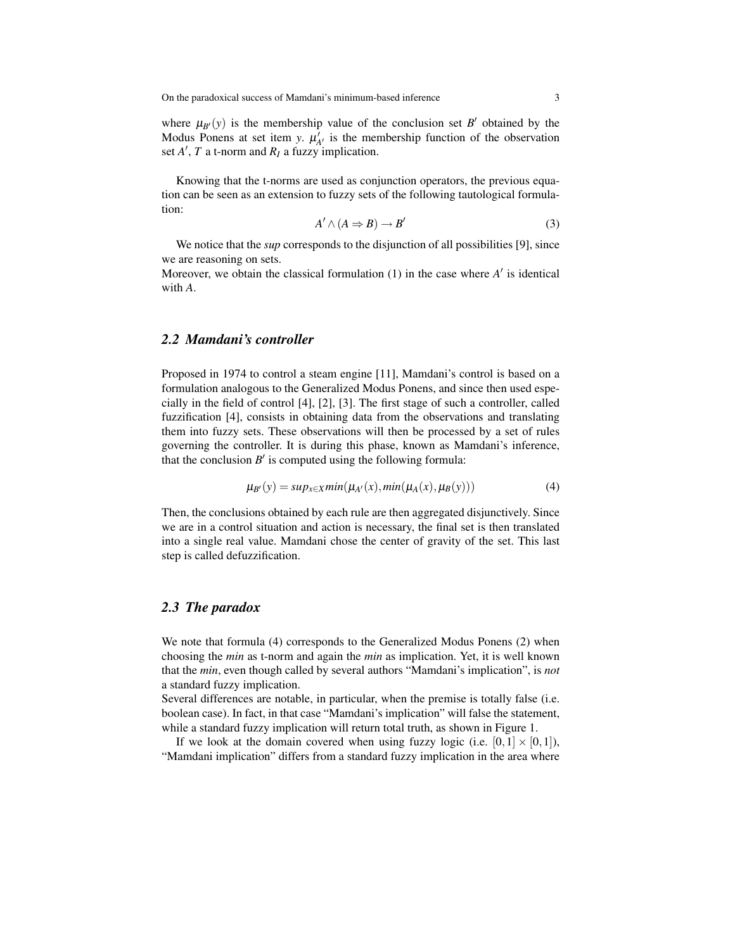where  $\mu_{B'}(y)$  is the membership value of the conclusion set *B'* obtained by the Modus Ponens at set item *y*.  $\mu'_{A'}$  is the membership function of the observation set  $A'$ ,  $T$  a t-norm and  $R_I$  a fuzzy implication.

Knowing that the t-norms are used as conjunction operators, the previous equation can be seen as an extension to fuzzy sets of the following tautological formulation:

$$
A' \wedge (A \Rightarrow B) \to B'
$$
 (3)

We notice that the *sup* corresponds to the disjunction of all possibilities [9], since we are reasoning on sets.

Moreover, we obtain the classical formulation  $(1)$  in the case where  $A'$  is identical with *A*.

#### *2.2 Mamdani's controller*

Proposed in 1974 to control a steam engine [11], Mamdani's control is based on a formulation analogous to the Generalized Modus Ponens, and since then used especially in the field of control [4], [2], [3]. The first stage of such a controller, called fuzzification [4], consists in obtaining data from the observations and translating them into fuzzy sets. These observations will then be processed by a set of rules governing the controller. It is during this phase, known as Mamdani's inference, that the conclusion  $B'$  is computed using the following formula:

$$
\mu_{B'}(y) = \sup_{x \in X} \min(\mu_{A'}(x), \min(\mu_A(x), \mu_B(y))) \tag{4}
$$

Then, the conclusions obtained by each rule are then aggregated disjunctively. Since we are in a control situation and action is necessary, the final set is then translated into a single real value. Mamdani chose the center of gravity of the set. This last step is called defuzzification.

#### *2.3 The paradox*

We note that formula (4) corresponds to the Generalized Modus Ponens (2) when choosing the *min* as t-norm and again the *min* as implication. Yet, it is well known that the *min*, even though called by several authors "Mamdani's implication", is *not* a standard fuzzy implication.

Several differences are notable, in particular, when the premise is totally false (i.e. boolean case). In fact, in that case "Mamdani's implication" will false the statement, while a standard fuzzy implication will return total truth, as shown in Figure 1.

If we look at the domain covered when using fuzzy logic (i.e.  $[0,1] \times [0,1]$ ), "Mamdani implication" differs from a standard fuzzy implication in the area where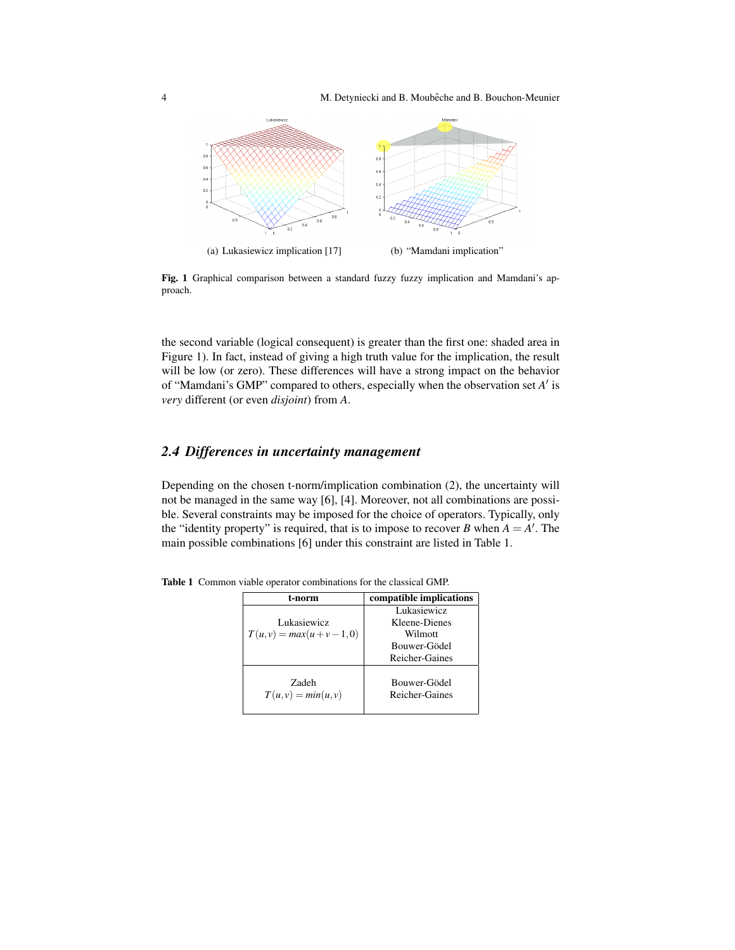4 M. Detyniecki and B. Moubêche and B. Bouchon-Meunier



Fig. 1 Graphical comparison between a standard fuzzy fuzzy implication and Mamdani's approach.

the second variable (logical consequent) is greater than the first one: shaded area in Figure 1). In fact, instead of giving a high truth value for the implication, the result will be low (or zero). These differences will have a strong impact on the behavior of "Mamdani's GMP" compared to others, especially when the observation set A' is *very* different (or even *disjoint*) from *A*.

## *2.4 Differences in uncertainty management*

Depending on the chosen t-norm/implication combination (2), the uncertainty will not be managed in the same way [6], [4]. Moreover, not all combinations are possible. Several constraints may be imposed for the choice of operators. Typically, only the "identity property" is required, that is to impose to recover *B* when  $A = A'$ . The main possible combinations [6] under this constraint are listed in Table 1.

| t-norm                        | compatible implications |
|-------------------------------|-------------------------|
|                               | Lukasiewicz             |
| Lukasiewicz                   | Kleene-Dienes           |
| $T(u, v) = max(u + v - 1, 0)$ | Wilmott                 |
|                               | Bouwer-Gödel            |
|                               | Reicher-Gaines          |
| Zadeh                         | Bouwer-Gödel            |
|                               |                         |
| $T(u, v) = min(u, v)$         | Reicher-Gaines          |

Table 1 Common viable operator combinations for the classical GMP.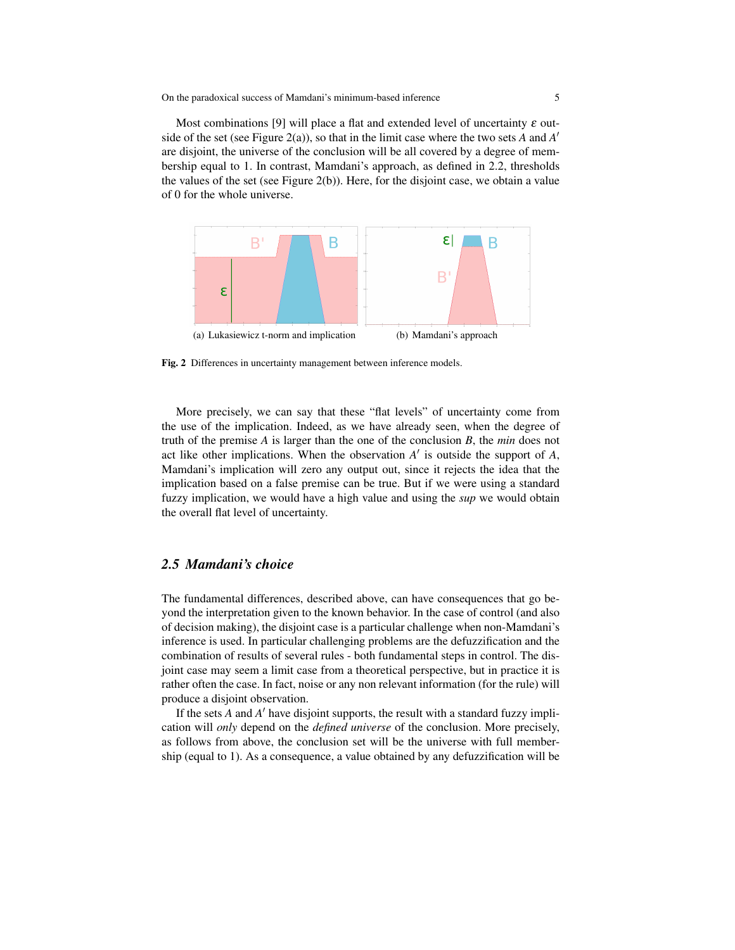Most combinations [9] will place a flat and extended level of uncertainty  $\varepsilon$  outside of the set (see Figure 2(a)), so that in the limit case where the two sets *A* and *A* 0 are disjoint, the universe of the conclusion will be all covered by a degree of membership equal to 1. In contrast, Mamdani's approach, as defined in 2.2, thresholds the values of the set (see Figure  $2(b)$ ). Here, for the disjoint case, we obtain a value of 0 for the whole universe.



Fig. 2 Differences in uncertainty management between inference models.

More precisely, we can say that these "flat levels" of uncertainty come from the use of the implication. Indeed, as we have already seen, when the degree of truth of the premise *A* is larger than the one of the conclusion *B*, the *min* does not act like other implications. When the observation  $A'$  is outside the support of  $A$ , Mamdani's implication will zero any output out, since it rejects the idea that the implication based on a false premise can be true. But if we were using a standard fuzzy implication, we would have a high value and using the *sup* we would obtain the overall flat level of uncertainty.

## *2.5 Mamdani's choice*

The fundamental differences, described above, can have consequences that go beyond the interpretation given to the known behavior. In the case of control (and also of decision making), the disjoint case is a particular challenge when non-Mamdani's inference is used. In particular challenging problems are the defuzzification and the combination of results of several rules - both fundamental steps in control. The disjoint case may seem a limit case from a theoretical perspective, but in practice it is rather often the case. In fact, noise or any non relevant information (for the rule) will produce a disjoint observation.

If the sets  $A$  and  $A'$  have disjoint supports, the result with a standard fuzzy implication will *only* depend on the *defined universe* of the conclusion. More precisely, as follows from above, the conclusion set will be the universe with full membership (equal to 1). As a consequence, a value obtained by any defuzzification will be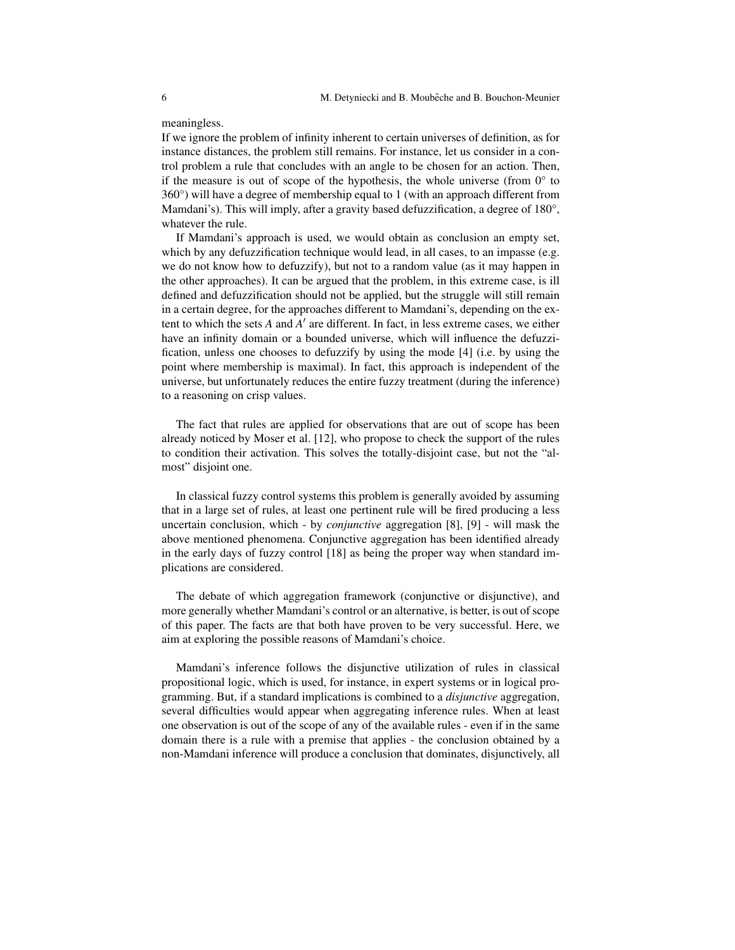meaningless.

If we ignore the problem of infinity inherent to certain universes of definition, as for instance distances, the problem still remains. For instance, let us consider in a control problem a rule that concludes with an angle to be chosen for an action. Then, if the measure is out of scope of the hypothesis, the whole universe (from  $0^{\circ}$  to 360°) will have a degree of membership equal to 1 (with an approach different from Mamdani's). This will imply, after a gravity based defuzzification, a degree of 180°, whatever the rule.

If Mamdani's approach is used, we would obtain as conclusion an empty set, which by any defuzzification technique would lead, in all cases, to an impasse (e.g. we do not know how to defuzzify), but not to a random value (as it may happen in the other approaches). It can be argued that the problem, in this extreme case, is ill defined and defuzzification should not be applied, but the struggle will still remain in a certain degree, for the approaches different to Mamdani's, depending on the extent to which the sets  $A$  and  $A'$  are different. In fact, in less extreme cases, we either have an infinity domain or a bounded universe, which will influence the defuzzification, unless one chooses to defuzzify by using the mode [4] (i.e. by using the point where membership is maximal). In fact, this approach is independent of the universe, but unfortunately reduces the entire fuzzy treatment (during the inference) to a reasoning on crisp values.

The fact that rules are applied for observations that are out of scope has been already noticed by Moser et al. [12], who propose to check the support of the rules to condition their activation. This solves the totally-disjoint case, but not the "almost" disjoint one.

In classical fuzzy control systems this problem is generally avoided by assuming that in a large set of rules, at least one pertinent rule will be fired producing a less uncertain conclusion, which - by *conjunctive* aggregation [8], [9] - will mask the above mentioned phenomena. Conjunctive aggregation has been identified already in the early days of fuzzy control [18] as being the proper way when standard implications are considered.

The debate of which aggregation framework (conjunctive or disjunctive), and more generally whether Mamdani's control or an alternative, is better, is out of scope of this paper. The facts are that both have proven to be very successful. Here, we aim at exploring the possible reasons of Mamdani's choice.

Mamdani's inference follows the disjunctive utilization of rules in classical propositional logic, which is used, for instance, in expert systems or in logical programming. But, if a standard implications is combined to a *disjunctive* aggregation, several difficulties would appear when aggregating inference rules. When at least one observation is out of the scope of any of the available rules - even if in the same domain there is a rule with a premise that applies - the conclusion obtained by a non-Mamdani inference will produce a conclusion that dominates, disjunctively, all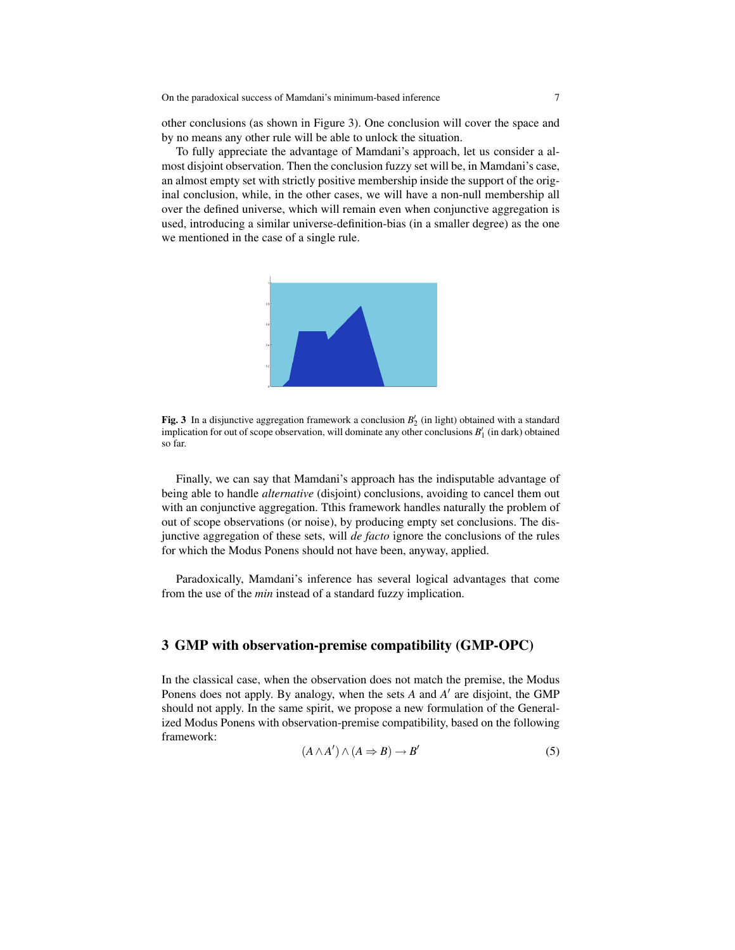other conclusions (as shown in Figure 3). One conclusion will cover the space and by no means any other rule will be able to unlock the situation.

To fully appreciate the advantage of Mamdani's approach, let us consider a almost disjoint observation. Then the conclusion fuzzy set will be, in Mamdani's case, an almost empty set with strictly positive membership inside the support of the original conclusion, while, in the other cases, we will have a non-null membership all over the defined universe, which will remain even when conjunctive aggregation is used, introducing a similar universe-definition-bias (in a smaller degree) as the one we mentioned in the case of a single rule.



Fig. 3 In a disjunctive aggregation framework a conclusion  $B_2$  (in light) obtained with a standard implication for out of scope observation, will dominate any other conclusions  $B'_1$  (in dark) obtained so far.

Finally, we can say that Mamdani's approach has the indisputable advantage of being able to handle *alternative* (disjoint) conclusions, avoiding to cancel them out with an conjunctive aggregation. Tthis framework handles naturally the problem of out of scope observations (or noise), by producing empty set conclusions. The disjunctive aggregation of these sets, will *de facto* ignore the conclusions of the rules for which the Modus Ponens should not have been, anyway, applied.

Paradoxically, Mamdani's inference has several logical advantages that come from the use of the *min* instead of a standard fuzzy implication.

## 3 GMP with observation-premise compatibility (GMP-OPC)

In the classical case, when the observation does not match the premise, the Modus Ponens does not apply. By analogy, when the sets *A* and *A'* are disjoint, the GMP should not apply. In the same spirit, we propose a new formulation of the Generalized Modus Ponens with observation-premise compatibility, based on the following framework:

$$
(A \wedge A') \wedge (A \Rightarrow B) \to B'
$$
 (5)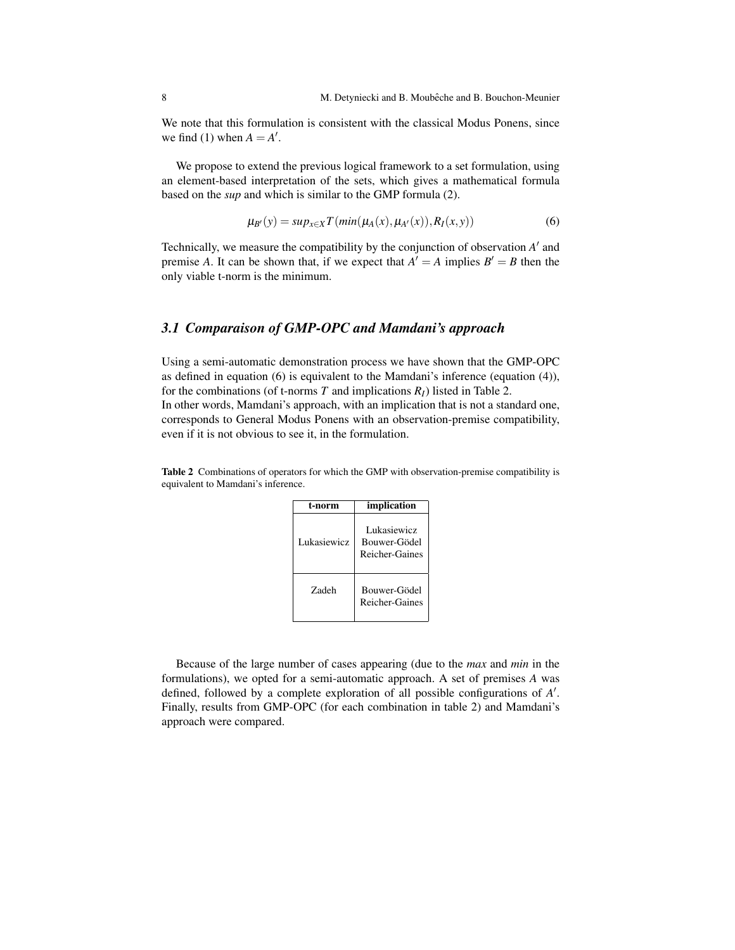We note that this formulation is consistent with the classical Modus Ponens, since we find (1) when  $A = A'$ .

We propose to extend the previous logical framework to a set formulation, using an element-based interpretation of the sets, which gives a mathematical formula based on the *sup* and which is similar to the GMP formula (2).

$$
\mu_{B'}(y) = \sup_{x \in X} T(\min(\mu_A(x), \mu_{A'}(x)), R_I(x, y))
$$
(6)

Technically, we measure the compatibility by the conjunction of observation  $A'$  and premise *A*. It can be shown that, if we expect that  $A' = A$  implies  $B' = B$  then the only viable t-norm is the minimum.

#### *3.1 Comparaison of GMP-OPC and Mamdani's approach*

Using a semi-automatic demonstration process we have shown that the GMP-OPC as defined in equation (6) is equivalent to the Mamdani's inference (equation (4)), for the combinations (of t-norms  $T$  and implications  $R_I$ ) listed in Table 2. In other words, Mamdani's approach, with an implication that is not a standard one, corresponds to General Modus Ponens with an observation-premise compatibility, even if it is not obvious to see it, in the formulation.

Table 2 Combinations of operators for which the GMP with observation-premise compatibility is equivalent to Mamdani's inference.

| t-norm      | implication                                   |
|-------------|-----------------------------------------------|
| Lukasiewicz | Lukasiewicz<br>Bouwer-Gödel<br>Reicher-Gaines |
| Zadeh       | Bouwer-Gödel<br>Reicher-Gaines                |

Because of the large number of cases appearing (due to the *max* and *min* in the formulations), we opted for a semi-automatic approach. A set of premises *A* was defined, followed by a complete exploration of all possible configurations of A'. Finally, results from GMP-OPC (for each combination in table 2) and Mamdani's approach were compared.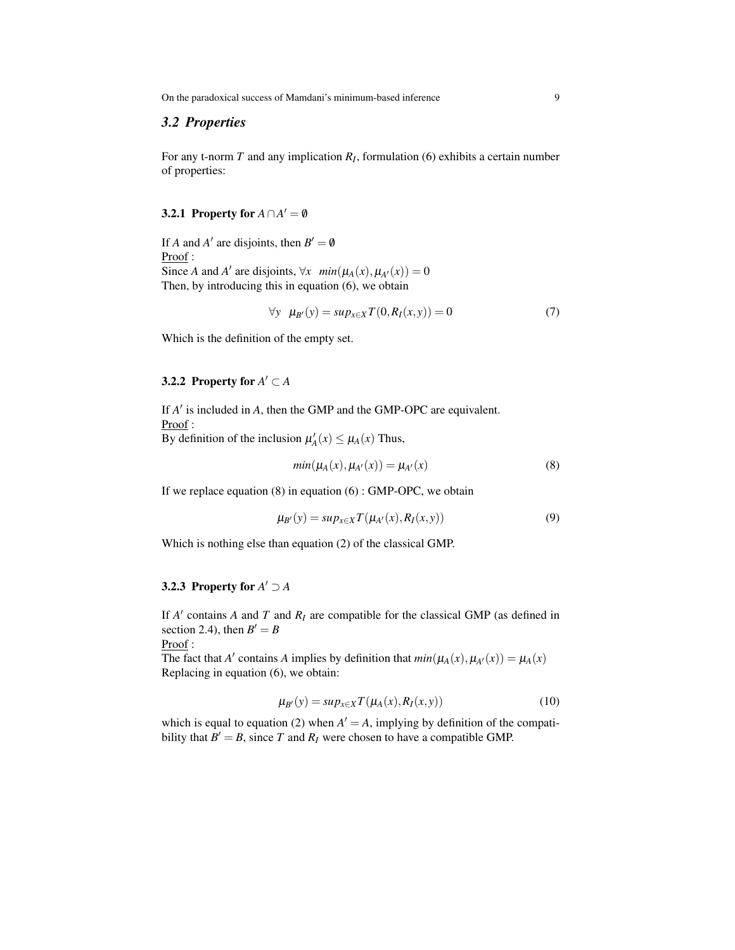On the paradoxical success of Mamdani's minimum-based inference 9

#### *3.2 Properties*

For any t-norm *T* and any implication *R<sup>I</sup>* , formulation (6) exhibits a certain number of properties:

## 3.2.1 Property for  $A \cap A' = \emptyset$

If *A* and *A'* are disjoints, then  $B' = \emptyset$ Proof: Since *A* and *A'* are disjoints,  $\forall x \ min(\mu_A(x), \mu_{A'}(x)) = 0$ Then, by introducing this in equation (6), we obtain

$$
\forall y \ \mu_{B'}(y) = \sup_{x \in X} T(0, R_I(x, y)) = 0 \tag{7}
$$

Which is the definition of the empty set.

## 3.2.2 Property for  $A' \subset A$

If  $A'$  is included in  $A$ , then the GMP and the GMP-OPC are equivalent. Proof :

By definition of the inclusion  $\mu'_A(x) \le \mu_A(x)$  Thus,

$$
min(\mu_A(x), \mu_{A'}(x)) = \mu_{A'}(x) \tag{8}
$$

If we replace equation  $(8)$  in equation  $(6)$ : GMP-OPC, we obtain

$$
\mu_{B'}(y) = \sup_{x \in X} T(\mu_{A'}(x), R_I(x, y))
$$
\n(9)

Which is nothing else than equation (2) of the classical GMP.

## 3.2.3 Property for  $A' \supset A$

If  $A'$  contains  $A$  and  $T$  and  $R_I$  are compatible for the classical GMP (as defined in section 2.4), then  $B' = B$ 

Proof :

The fact that *A'* contains *A* implies by definition that  $min(\mu_A(x), \mu_{A'}(x)) = \mu_A(x)$ Replacing in equation (6), we obtain:

$$
\mu_{B'}(y) = \sup_{x \in X} T(\mu_A(x), R_I(x, y)) \tag{10}
$$

which is equal to equation (2) when  $A' = A$ , implying by definition of the compatibility that  $B' = B$ , since *T* and  $R_I$  were chosen to have a compatible GMP.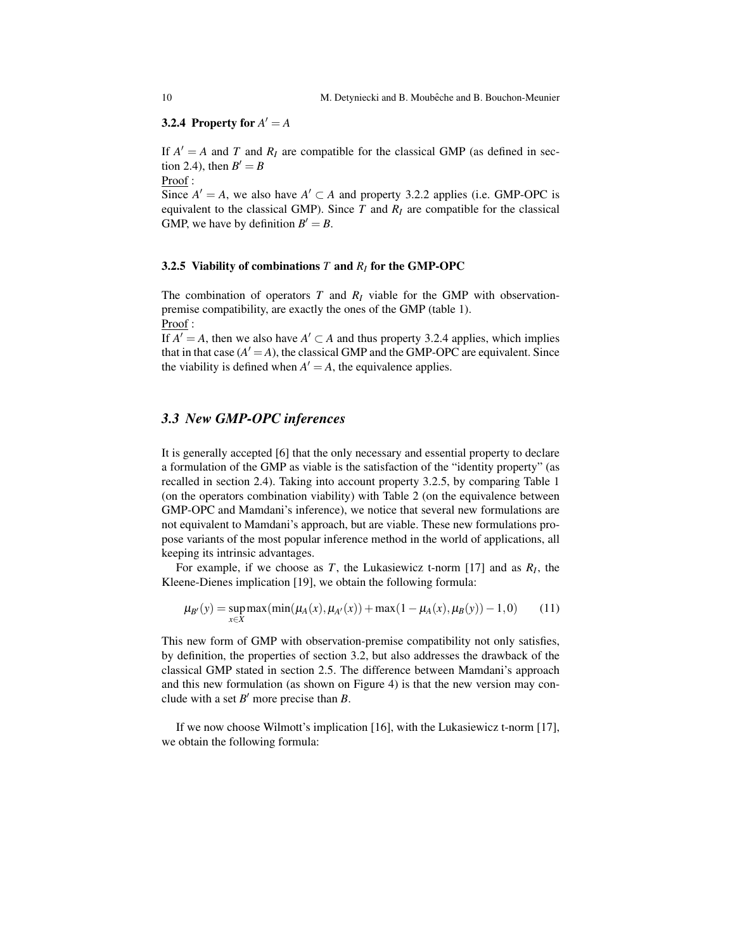3.2.4 Property for  $A' = A$ 

If  $A' = A$  and *T* and  $R_I$  are compatible for the classical GMP (as defined in sec- $\text{tion } 2.4$ ), then  $B' = B$ 

Proof :

Since  $A' = A$ , we also have  $A' \subset A$  and property 3.2.2 applies (i.e. GMP-OPC is equivalent to the classical GMP). Since  $T$  and  $R_I$  are compatible for the classical GMP, we have by definition  $B' = B$ .

#### 3.2.5 Viability of combinations *T* and *R<sup>I</sup>* for the GMP-OPC

The combination of operators  $T$  and  $R_I$  viable for the GMP with observationpremise compatibility, are exactly the ones of the GMP (table 1). Proof :

If  $A' = A$ , then we also have  $A' \subset A$  and thus property 3.2.4 applies, which implies that in that case  $(A' = A)$ , the classical GMP and the GMP-OPC are equivalent. Since the viability is defined when  $A' = A$ , the equivalence applies.

#### *3.3 New GMP-OPC inferences*

It is generally accepted [6] that the only necessary and essential property to declare a formulation of the GMP as viable is the satisfaction of the "identity property" (as recalled in section 2.4). Taking into account property 3.2.5, by comparing Table 1 (on the operators combination viability) with Table 2 (on the equivalence between GMP-OPC and Mamdani's inference), we notice that several new formulations are not equivalent to Mamdani's approach, but are viable. These new formulations propose variants of the most popular inference method in the world of applications, all keeping its intrinsic advantages.

For example, if we choose as *T*, the Lukasiewicz t-norm [17] and as *R<sup>I</sup>* , the Kleene-Dienes implication [19], we obtain the following formula:

$$
\mu_{B'}(y) = \sup_{x \in X} \max(\min(\mu_A(x), \mu_{A'}(x)) + \max(1 - \mu_A(x), \mu_B(y)) - 1, 0)
$$
(11)

This new form of GMP with observation-premise compatibility not only satisfies, by definition, the properties of section 3.2, but also addresses the drawback of the classical GMP stated in section 2.5. The difference between Mamdani's approach and this new formulation (as shown on Figure 4) is that the new version may conclude with a set  $B'$  more precise than  $B$ .

If we now choose Wilmott's implication [16], with the Lukasiewicz t-norm [17], we obtain the following formula: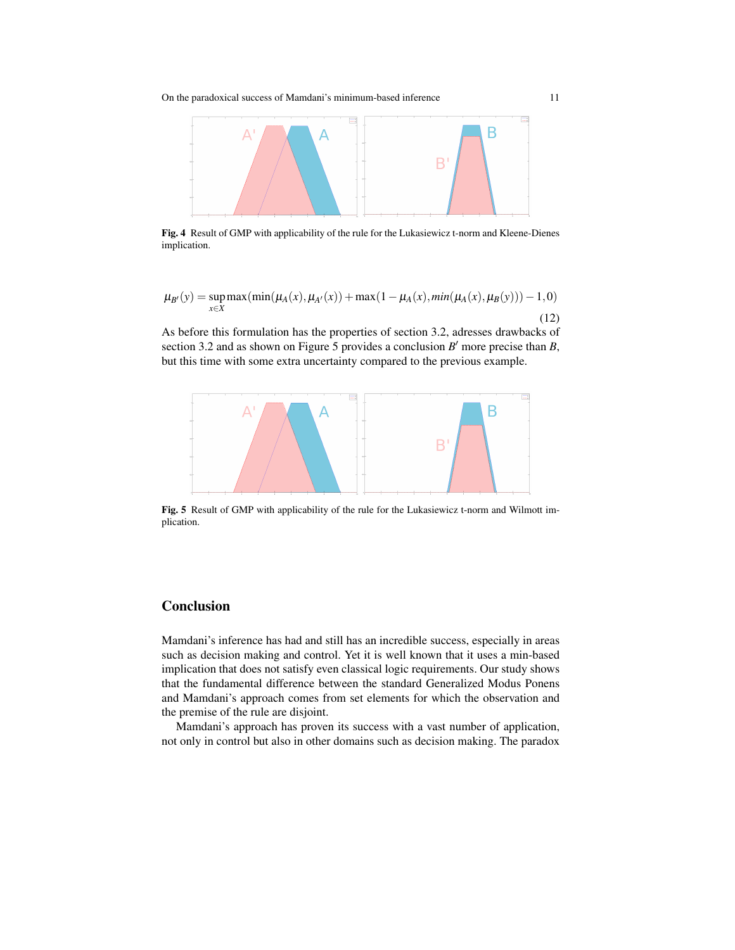On the paradoxical success of Mamdani's minimum-based inference 11



Fig. 4 Result of GMP with applicability of the rule for the Lukasiewicz t-norm and Kleene-Dienes implication.

$$
\mu_{B'}(y) = \sup_{x \in X} \max(\min(\mu_A(x), \mu_{A'}(x)) + \max(1 - \mu_A(x), \min(\mu_A(x), \mu_B(y))) - 1, 0)
$$
\n(12)

As before this formulation has the properties of section 3.2, adresses drawbacks of section 3.2 and as shown on Figure 5 provides a conclusion  $B'$  more precise than  $B$ , but this time with some extra uncertainty compared to the previous example.



Fig. 5 Result of GMP with applicability of the rule for the Lukasiewicz t-norm and Wilmott implication.

## **Conclusion**

Mamdani's inference has had and still has an incredible success, especially in areas such as decision making and control. Yet it is well known that it uses a min-based implication that does not satisfy even classical logic requirements. Our study shows that the fundamental difference between the standard Generalized Modus Ponens and Mamdani's approach comes from set elements for which the observation and the premise of the rule are disjoint.

Mamdani's approach has proven its success with a vast number of application, not only in control but also in other domains such as decision making. The paradox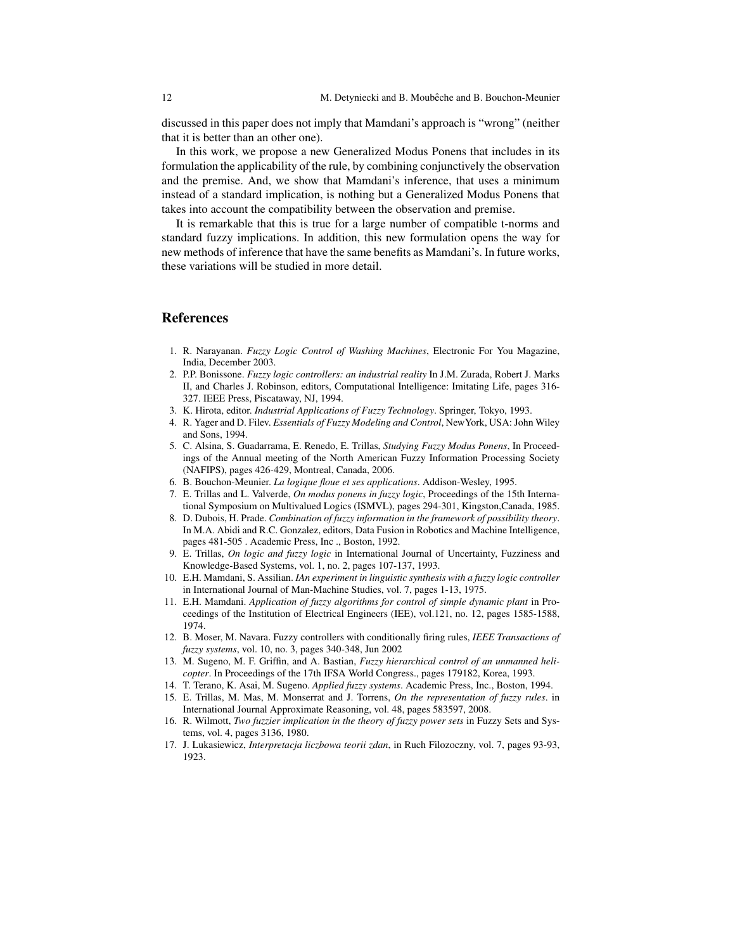discussed in this paper does not imply that Mamdani's approach is "wrong" (neither that it is better than an other one).

In this work, we propose a new Generalized Modus Ponens that includes in its formulation the applicability of the rule, by combining conjunctively the observation and the premise. And, we show that Mamdani's inference, that uses a minimum instead of a standard implication, is nothing but a Generalized Modus Ponens that takes into account the compatibility between the observation and premise.

It is remarkable that this is true for a large number of compatible t-norms and standard fuzzy implications. In addition, this new formulation opens the way for new methods of inference that have the same benefits as Mamdani's. In future works, these variations will be studied in more detail.

#### References

- 1. R. Narayanan. *Fuzzy Logic Control of Washing Machines*, Electronic For You Magazine, India, December 2003.
- 2. P.P. Bonissone. *Fuzzy logic controllers: an industrial reality* In J.M. Zurada, Robert J. Marks II, and Charles J. Robinson, editors, Computational Intelligence: Imitating Life, pages 316- 327. IEEE Press, Piscataway, NJ, 1994.
- 3. K. Hirota, editor. *Industrial Applications of Fuzzy Technology*. Springer, Tokyo, 1993.
- 4. R. Yager and D. Filev. *Essentials of Fuzzy Modeling and Control*, NewYork, USA: John Wiley and Sons, 1994.
- 5. C. Alsina, S. Guadarrama, E. Renedo, E. Trillas, *Studying Fuzzy Modus Ponens*, In Proceedings of the Annual meeting of the North American Fuzzy Information Processing Society (NAFIPS), pages 426-429, Montreal, Canada, 2006.
- 6. B. Bouchon-Meunier. *La logique floue et ses applications*. Addison-Wesley, 1995.
- 7. E. Trillas and L. Valverde, *On modus ponens in fuzzy logic*, Proceedings of the 15th International Symposium on Multivalued Logics (ISMVL), pages 294-301, Kingston,Canada, 1985.
- 8. D. Dubois, H. Prade. *Combination of fuzzy information in the framework of possibility theory*. In M.A. Abidi and R.C. Gonzalez, editors, Data Fusion in Robotics and Machine Intelligence, pages 481-505 . Academic Press, Inc ., Boston, 1992.
- 9. E. Trillas, *On logic and fuzzy logic* in International Journal of Uncertainty, Fuzziness and Knowledge-Based Systems, vol. 1, no. 2, pages 107-137, 1993.
- 10. E.H. Mamdani, S. Assilian. *IAn experiment in linguistic synthesis with a fuzzy logic controller* in International Journal of Man-Machine Studies, vol. 7, pages 1-13, 1975.
- 11. E.H. Mamdani. *Application of fuzzy algorithms for control of simple dynamic plant* in Proceedings of the Institution of Electrical Engineers (IEE), vol.121, no. 12, pages 1585-1588, 1974.
- 12. B. Moser, M. Navara. Fuzzy controllers with conditionally firing rules, *IEEE Transactions of fuzzy systems*, vol. 10, no. 3, pages 340-348, Jun 2002
- 13. M. Sugeno, M. F. Griffin, and A. Bastian, *Fuzzy hierarchical control of an unmanned helicopter*. In Proceedings of the 17th IFSA World Congress., pages 179182, Korea, 1993.
- 14. T. Terano, K. Asai, M. Sugeno. *Applied fuzzy systems*. Academic Press, Inc., Boston, 1994.
- 15. E. Trillas, M. Mas, M. Monserrat and J. Torrens, *On the representation of fuzzy rules*. in International Journal Approximate Reasoning, vol. 48, pages 583597, 2008.
- 16. R. Wilmott, *Two fuzzier implication in the theory of fuzzy power sets* in Fuzzy Sets and Systems, vol. 4, pages 3136, 1980.
- 17. J. Lukasiewicz, *Interpretacja liczbowa teorii zdan*, in Ruch Filozoczny, vol. 7, pages 93-93, 1923.